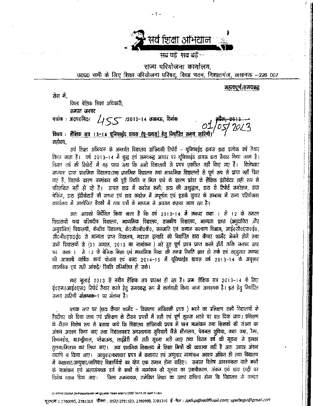

- 1 -

राज्य परियोजना कार्यालय. उ०प्र० सभी के लिए शिक्षा परियोजना परिषद, विद्या भवन, निशातगंज, लखनऊ -226 007

महत्वपूर्ण/समयबद्ध

सेवा में,

जिला बेसिक शिक्षा अधिकारी.

समस्त जनपद

 $455$  /2013-14 तखनऊ, दिनांक पत्रांकः अ०प०नि०/

विषय : शैक्षिक सत्र 13-14 यूनिफाईड डायस (यू-डायस) हेतु निर्घारित समय सारिणी महोदय.

सर्व शिक्षा अभियान के अन्तर्गत विद्यालय सांख्यिकी रिपोर्ट – यूनिफाईड डायस डाटा प्रत्येक वर्ष तैयार किया जाता है। वर्ष 2013-14 में शुद्ध एवं समयबद्ध आधार पर यूनिफाईड डायस डाटा तैयार किया जाना है। विगत वर्ष की रिपोर्टों में यह पाया जया कि सभी विद्यालयों से प्रपत्र एकत्रित नहीं किए गए हैं। विशेषकर मान्यता प्राप्त प्राथमिक विद्यालय/उच्च प्राथमिक विद्यालय तथा माध्यमिक विद्यालयों से पूर्ण रूप से प्राप्त नहीं किए मए हैं, जिसके कारण नामांकन की पूरी रियति न मिल पाने के कारण प्रदेश के शैक्षिक इंडीकेटर सही रूप में परिलक्षित नहीं हो रहे हैं। डायस डाय में कवरेज कमी/ डाय की अशुद्धता, डाय से रिपोर्ट जनरेशन, डाय चेकिंग, डाटा इंडीकेटारों की गणना एवं डाटा कवरेज में अपूर्णता एवं इसके सुधार के सम्बन्ध में राज्य परियोजना कार्यालय में आयोजित बैठकों में तथा पत्रों के माध्यम से अवगत कराया जाता रहा है।

अतः आयको निर्देशित किया जाता है कि वर्ष 2013-14 में जनपद कक्षा । से 12 के समस्त विद्यालयों यथा परिषदीय विद्यालय, माध्यमिक विद्यालय, राजकीय विद्यालय, मान्यता प्राप्त (अनूदानित *)*ौर अनुदानित) विद्यालयों, केन्द्रीय विद्यालय, के0जी0बी0वी0, जनजाति एवं समाज कल्याण विभाग, आई0सी0एस0ई0, सी०बी०एस०ई० से मान्यता प्राप्त विद्यालय, मदरसा इत्यादि को निर्धारित डाटा कैप्चर फार्मेट भेजने होगें तथा सभी विद्यालयों से (31 अगस्त, 2013 का नामांकन्न ) भरे हुए पूर्ण प्रपत्र प्राप्त करने होंगें ताकि जनपद स्तर पर कक्षा । से 12 के बेसिक शिक्षा एवं माध्यमिक शिक्षा की समग्र स्थिति ज्ञात हो सके एवं तदनुसार जनपद की आग़ामी वार्षिक कार्य योजना एवं बजट 2014–15 में यूनिफाईड डायस वर्ष 2013–14 के अनुसार वास्तविक एवं सही आंकड़े/ रिथति सम्मिलित हो सके।

माह जुलाई 2013 से नवीन शैक्षिक सत्र प्रारम्भ हो रहा है। अन्हः शैक्षिक सत्र 2013-14 के लिए ई०एम०आई०एस० रिपोर्ट तैयार करने हेतू समयबद्ध रूप में कार्यवाही किया जाना आवश्यक है। इस हेतू निर्धारित समय सारिणी **संलग्नक-**1 पर संलग्न है।

ब्लाक स्तर पर (डाटा कैप्चर फार्मेट - विद्यालय सांख्यिकी प्रपत्र ) भरने का प्रशिक्षण सभी विद्यालयों के हैडटीक्ट को दिशा जाय एवं प्रशिक्षण के दौरान प्रपन्नों में सही एवं पूर्ण सूचना भरने पर बल दिया जाय। प्रशिक्षण के दौरान विशेष रूप से बताया जाये कि विद्यालय सांख्यिकी प्रपत्र में छात्र नामांकन तथा शिक्षकों की संख्या का अंकन अवश्य किया जाए तथा विद्यालयबार अवस्थापना सुविधायेँ जैसे शौचालय, पेयजल सुविधा, कक्षा कक्ष, रैम्प, किचनशेड, बाउन्ड्रीवाल, प्लेग्राउन्ड, लाईब्रेरी की सही सूचना भरी जाए तथा विगत वर्ष की सूचना से इसका तुलना/मिलान कर लिया जाए।- उच्च प्राथमिक विद्यालय में शिक्षा मित्रों की व्यवस्था नहीं है अतः उनका अंकन कदापि न किया जाए। आयुवार/कक्षावार प्रपत्र में कक्षावार एवं आयुवार नामांकन अवश्य अंकित हो तथा विद्यालय र्मे कक्षावार/आयुवार/जातिवार विद्याार्थियों का योग एक समान होना चाहिए। समस्त विशेष आवश्यकता वाले बच्चों के नामांकन एवं अत्पसंख्यक वर्ग के बच्चों के नामांकन की सूचना का एकत्रीकरण, अंकन एवं डाटा एन्ट्री पर जिला समन्वयक, समेकित शिक्षा का उत्तर दायित्व होगा कि विद्यालय के समस्त विशेष ध्यान दिया जाए।

#### D \PRATIBHA\A, Sinha\computer wing\Leller Head letter U DISE DATA 26 April 13.doc

दूरभाषः : 2780995, 2781316 फैक्स: 0522-2781123, 2780998, 2781316 ई-मेल: spdup@rediffmail.com; upefaspo@gmail.com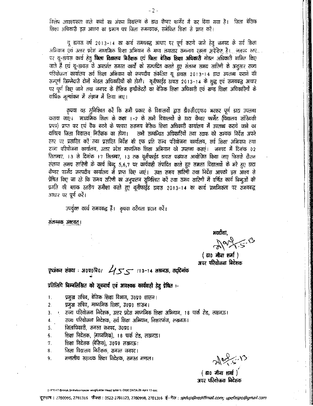विशेष आवश्यकता वाले बच्चों का अंकन विद्यालय के डाटा कैप्चर फार्मेट में कर दिया गया है। जिला बेसिक शिक्षा अधिकारी इस आशय का प्रमाण पत्र जिला समन्वयक, समेकित शिक्षा से प्राप्त करें।

यू डायस वर्ष 2013-14 का कार्य समयबद्ध आधार पर पूर्ण कराये जाने हेतु जनपद के सर्व शिक्षा अभियान एवं उत्तर प्रदेश माध्यमिक शिक्षा अभियान के मध्य लगातार समन्वय रख़ना अपेक्षित है। जनपद स्तर... पर यू-डायस कार्य हेतु **जिला विद्यालय बिरीक्षक एवं जिला बेसिक शिक्षा अधिकारी** नोडल अधिकारी नामित किए जाते हैं एवं यू-डायस के अन्तर्गत समस्त कार्यों को सम्पादित कराते हुए संलग्न समय सारिणी के अनुसार राज्य परियोजना कार्यालय सर्व शिक्षा अभियान को जनपदीय संकलित यू डायस 2013-14 डाटा उपलब्ध कराने की सम्पूर्ण जिम्मेदारी दोनों नोडल अधिकारियों की होगी। यूनीफाईड डायस 2013-14 के शुद्ध एवं समयबद्ध आधार पर पूर्ण किए जाने तथा जनपद के शैक्षिक इण्डीकेटरों का बेसिक शिक्षा अधिकारी एवं खण्ड शिक्षा अधिकारियों के वार्षिक मूल्यांकन में संज्ञान में लिया जाए।

कृपया यह सुनिश्चित करें कि सभी प्रकार के विद्यालयों द्वारा डी0सी0एफ0 भरकर पूर्ण डाटा उपलब्ध कराया जाए। माध्यमिक शिक्षा के कक्षा 1–2 के सभी विद्यालयों के डाटा कैप्चर फार्मेट (विद्यालय सांख्यिकी प्रपत्र) प्राप्त कर एवं चैक करने के पश्चात ससमय बेसिक शिक्षा अधिकारी कार्यालय में उपलब्ध कराये जाने का दायित्व जिला विद्यालय निरीक्षक का होगा। सभी सम्बन्धित अधिकारियों तथा स्टाफ को सम्यक निर्देश अपने स्तर पर प्रसारित करें तथा प्रसारित निर्देश की एक प्रति राज्य परियोजना कार्यालय, सर्व शिक्षा अभियान तथा राज्य परियोजना कार्यालय, उत्तर प्रदेश माध्यमिक शिक्षा अभियान को उपलब्ध कराएं। जनपद में दिनांक ०२ सितम्बर, १३ से दिनांक १७ सितम्बर, १३ तक यूनीफाईड डायस पखवारा आयोजित किया जाए जिसके दौरान संलग्न समय सारिणी के कार्य बिन्दू 5,6,7 पर कार्यवाही संपादित करते हुए समस्त विद्यालयों के भरे हुए डाटा कैप्चर फार्मेट जनपदीय कार्यालय में प्राप्त किए जाएं। उक्त समय सारिणी तथा निर्देश आपको इस आश्य से प्रेषित किए जा रहे कि समय सरिणी का अनूपालन सुनिश्चित करें तथा समय सारिणी में वर्णित कार्य बिन्दुओं की प्रगति की ब्लाक स्तरीय समीक्षा करते हुए यूनीफाईंड डायस २०१३-14 का कार्य प्राथमिकता पर समयबद्ध आधार पर पूर्ण करें।

उपर्युक्त कार्य समयबद्ध हैं। कृपया वरीयता प्रदान करें।

संलग्नक उक्तवत्।

भवदीया.

( डा० मीना शर्मा ) अपर परियोजना निदेशक

पृष्ठांकन संख्या : अ०प०वि०/  $455$ ा /13-14 तखनऊ, तद्दिनांक

## प्रतिलिपि बिम्बलिखित को सूचबार्य एवं आवश्यक कार्यवाही हेतू प्रेषित :-

- प्रमुख सचिव, बेसिक शिक्षा विभाग, उ०प्र० शासन।  $\mathbf{1}$ .
- प्रमुख सचिव, माध्यमिक शिक्षा, उ०प्र० शासन।  $\overline{2}$ .
- राज्य परियोजना निदेशक, उत्तर प्रदेश माध्यमिक शिक्षा अभियान, १८ पार्क रोड, लखनऊ। 3.
- राज्य परियोजना निदेशक, सर्व शिक्षा अभियान, निशातगंज, लखनऊ। 4.
- जिलाधिकारी, समस्त जनपद, उ०प्र०। 5.
- शिक्षा निदेशक, (माध्यमिक), 1.8 पार्क रोड, लखनऊ। 6.
- शिक्षा निदेशक (बेसिक), उ०प्र० लखनऊ। 7.
- जिला विद्यालय निरीक्षक, समस्त जनपद। 8.
- मण्डलीय सहायक शिक्षा निदेशक, समस्त मण्डल। 9.

May 5.13

 $(30$  मीना शर्मा $)$ अपर परियोजना बिदेशक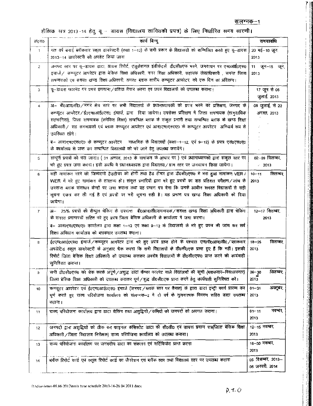### <u>संलग्नक–1</u>

# शैक्षिक सत्र 2013-14 हेतु यू.- डायस (विद्यालय सांख्यिकी प्रपत्र) के लिए निर्धारित समय सारणी।

| क0स0           | कार्य बिन्द                                                                                                                                                                                                                                                                                                                                                                                                                                                                                                                                                                                                                                                | समयावधि                             |  |  |  |
|----------------|------------------------------------------------------------------------------------------------------------------------------------------------------------------------------------------------------------------------------------------------------------------------------------------------------------------------------------------------------------------------------------------------------------------------------------------------------------------------------------------------------------------------------------------------------------------------------------------------------------------------------------------------------------|-------------------------------------|--|--|--|
| $\mathbf{1}$   | गत वर्ष बनाई ब्लॉकवार स्कूल डायरेक्टरी (कक्षा 1-12) के सभी प्रकार के विद्यालयों को सम्मिलित करते हुए यू-डायस<br>2013–14 डायरेक्टरी को अपडेट किया जाना                                                                                                                                                                                                                                                                                                                                                                                                                                                                                                      | $20$ मई $-10$ जून,<br>2013          |  |  |  |
| $\overline{2}$ | जनपद स्तर पर यू-डायस डाटा, डायस रिपोर्ट, एजुकेशनल इंडीकेटर्स, डी0सी0एफ भरने, जनवाचन पर एम0आई0एस0<br>इचार्ज / कम्प्यूटर आपरेटर द्वारा बेसिक शिक्षा अधिकारी, नगर शिक्षा अधिकारी, सहायक लेखाधिकारी , समस्त जिला<br>समन्वयकों एवं समस्त खण्ड शिक्षा अधिकारी, समस्त ब्लाक स्तरीय कम्प्यूटर आपरेटर, को एक दिन का प्रशिक्षण।                                                                                                                                                                                                                                                                                                                                      | 11 जून-15 जून,<br>2013              |  |  |  |
| 3              | यू-डायस फारमेट पर प्रपत्र छपवाना/प्रतियां तैयार करना एवं प्रपत्र विद्यालयों को उपलब्ध कराना।                                                                                                                                                                                                                                                                                                                                                                                                                                                                                                                                                               | 17 जून से 06<br>जुलाई. 2013         |  |  |  |
| $\overline{4}$ | अ— बी0आर0सी0/नगर क्षेत्र स्तर पर सभी विद्यालयों के प्रधानाध्यापकों को प्रपत्र भरने का प्रशिक्षण, जनपद के<br>कम्प्यूटर आपरेटर/ई०एम०आई०एस० इंचार्ज, द्वारा दिया जायेगा। उपरोक्त प्रशिक्षण में जिला समन्वयक (सामुदायिक<br>सहभागिता), जिला समन्वयक (समेकित शिक्षा) सम्बन्धित ब्लाक के संकुल प्रभारी तथा सम्बन्धित ब्लाक के खण्ड शिक्षा<br>अधिकारी / सह समन्दयकों एवं ब्लाक कम्प्यूटर आपरेटर एवं आर0एम0एस0ए0 के कम्प्यूटर आपरेटर अलिवार्य रूप से<br>उपस्थित रहेंगे।<br>ब- आर0एम0एस0ए0 के कम्प्यूटर आपरेटर माध्यमिक के विद्यालयों (कक्षा-1-12, एवं 9-12) के प्रपत्र एस0एस0ए0<br>के कार्यालय से प्राप्त कर सम्बन्धित विद्यालयों को भरे जाने हेतु उपलब्ध करायेंगे। | 08 जुलाई, से 22<br>अगस्त, 2013      |  |  |  |
| 5              | सम्पूर्ण प्रपत्रों को भरा जाना। ( 31 अगस्त, 2013 के नामांकन के आधार पर ) एवं प्रधानाध्यापकों द्वारा संकुल स्तर पर<br>भरे हुए प्रपत्र जमा करना। इसी अवधि में प्रधानाध्यापक द्वारा विद्यालय /ग्राम स्तर पर जनवाधन किया जायेगा।                                                                                                                                                                                                                                                                                                                                                                                                                               | 02-09 सितम्बर,<br>$-2013$           |  |  |  |
| 6              | सही नागांकन भरने की जिम्मेदारी हैडटीचर की होगी तथा हैड टीचर द्वारा डी0सी0एफ0 में भरा हुआ नामांकन VER /<br>WER में भरे हुए नामांकन के तारतम्य हो। संकुल प्रभारियों द्वारा भरे हुए प्रपत्रों का शत प्रतिशत परीक्षण/जांच के<br>उपरान्त ब्लाक संसाधन केन्द्रों पर जमा कराना तथा यह प्रमाण पत्र देना कि उनके आधीन समस्त विद्यालयों से सही<br>सूचना एकत्र कर ली गई हैं एवं प्रपत्रों पर भरी सूचना सही है। यह प्रमाण पत्र खण्ड शिक्षा अधिकारी को दिया<br>जायेगा।                                                                                                                                                                                                  | सितम्बर,<br>$10 - 11$<br>2013       |  |  |  |
| $\overline{7}$ | अ– 25% प्रपत्रों की सैम्पुल चेकिंग के उपरान्त बी0आर0सी0समन्वयक/समस्त खण्ड शिक्षा अधिकारी द्वारा चेकिंग<br>के समस्त प्रमाणपत्रों सहित भरे हुए प्रपत्र जिला बेसिक अधिकारी के कार्यालय में जमा करना।<br>ब– आर0एम0एस0ए0 कार्यालय द्वारा कक्षा 1–12 एवं कक्षा 9–12 के विद्यालयों के भरे हुए प्रपत्र की जांच कर सर्व<br>शिक्षा अभियान कार्यालय को ब्लाकबार उपलब्ध कराना।                                                                                                                                                                                                                                                                                         | 12-17 सितम्बर,<br>2013              |  |  |  |
| 8              | ई०एम०आई०एस० इंचार्ज / कम्प्यूटर आपरेटर द्वारा भरे हुए प्रपत्र प्राप्त होने के पश्चात एन0पी0आर0सी0 / ब्लाकवार   18-25<br>अपडेटिड स्कूल डायरेक्टरी के अनुसार चैक करना कि सभी विद्यालयों के डी0सी0एफ प्राप्त हुए हैं कि नहीं। इसकी<br>रिपोर्ट जिला बेसिक शिक्षा अधिकारी को उपलब्ध कराकर अवशेष विद्यालयों के डी0सी0एफ0 प्राप्त करने की कार्यवाही<br>सुनिश्चित कराना।                                                                                                                                                                                                                                                                                           | सितम्बर्<br>2013                    |  |  |  |
| 9              | सभी डीoसीoएफo को चेक करके अपूर्ण / अशुद्ध डाटा कैप्चर फारमेट वाले विद्यालयों की सूची (स्लाकवार-विद्यालयवार)<br>जिला बेसिक शिक्षा अधिकारी को उपलब्ध कराकर पूर्ण / शुद्ध डी0सी0एफ प्राप्त करने हेतु कार्यवाही सुनिश्चित करें।                                                                                                                                                                                                                                                                                                                                                                                                                                | सितम्बर,<br>$26 - 30$<br>2013       |  |  |  |
| 10             | कम्प्यूटर आपरेटर एवं ई०एम०आई०एस० इंचार्ज (जनपद / ब्लाक स्तर पर तैनात) के द्वारा डाटा इन्ट्री कार्य प्रारम्भ कर<br>पूर्ण करते हुए राज्य परियोजना कार्यालय को संलग्नक–2 में दो वर्ष के तुलनात्मक विवरण सहित डाटा उपलब्ध<br>कराना।                                                                                                                                                                                                                                                                                                                                                                                                                            | $01 - 31$<br>अक्टूबर,<br>2013       |  |  |  |
| 11             | राज्य परियोजना कार्यालय द्वारा डाटा चेकिंग तथा अशुद्धियों / कमियों को जनपदों को अवगत कराना।                                                                                                                                                                                                                                                                                                                                                                                                                                                                                                                                                                | नवम्बर.<br>$01 - 11$<br>2013        |  |  |  |
| 12             | जनपदों द्वारा अशुद्धियों को ठीक कर फाइनल कॅसिस्टेंट डाटा की सी0डी0 एवं डायस प्रमाण पत्र(जिला बेसिक शिक्षा<br>अधिकारी / जिला विद्यालय निरीक्षक) राज्य परियोजना कार्यालय को उपलब्ध कराना।                                                                                                                                                                                                                                                                                                                                                                                                                                                                    | 12-15 नवम्बर,<br>2013               |  |  |  |
| 13             | राज्य परियोजना कार्यालय पर जनपदीय डाटा का संकलन एवं सर्टिफिकेट प्राप्त करना                                                                                                                                                                                                                                                                                                                                                                                                                                                                                                                                                                                | 16–30 नवम्बर,<br>2013               |  |  |  |
| 14             | ब्लॉक रिपोर्ट कार्ड एवं स्कूल रिपोर्ट कार्ड का जैनरेशन एवं ब्लॉक स्तर तथा विद्यालय स्तर पर उपलब्ध कराना                                                                                                                                                                                                                                                                                                                                                                                                                                                                                                                                                    | 05 दिसम्बर, 2013-<br>06 जनवरी, 2014 |  |  |  |